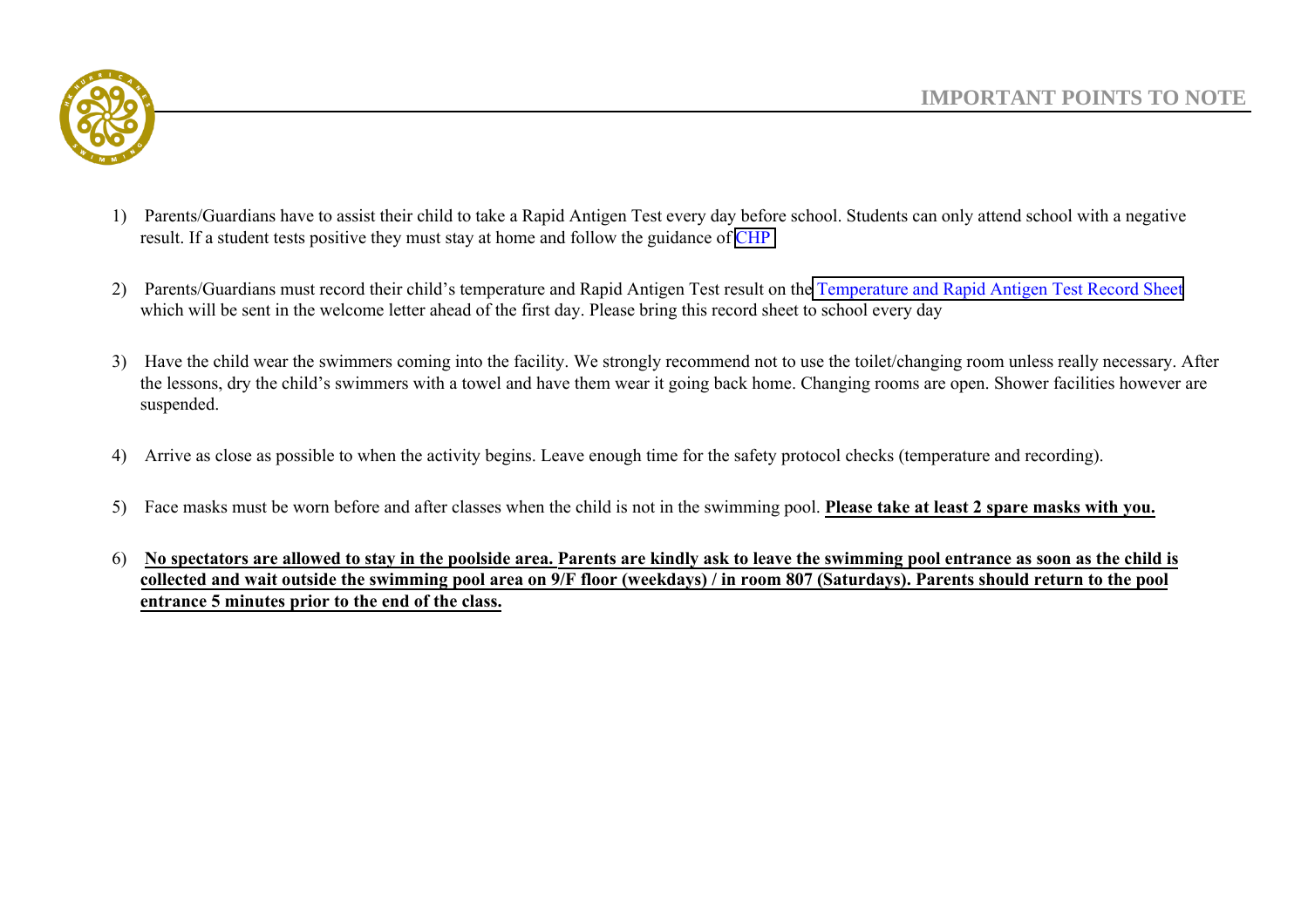

- 1) Parents/Guardians have to assist their child to take a Rapid Antigen Test every day before school. Students can only attend school with a negative result. If a student tests positive they must stay at home and follow the guidance of [CHP](https://www.chp.gov.hk/files/pdf/advice_to_school_on_prevention_of_nid_eng.pdf)
- 2) Parents/Guardians must record their child's temperature and Rapid Antigen Test result on th[e Temperature and Rapid Antigen Test Record Sheet](https://www.esf.org.hk/wp-content/uploads/2022/04/RAT_temp_form_HKAIS-11-scaled.jpg) which will be sent in the welcome letter ahead of the first day. Please bring this record sheet to school every day
- 3) Have the child wear the swimmers coming into the facility. We strongly recommend not to use the toilet/changing room unless really necessary. After the lessons, dry the child's swimmers with a towel and have them wear it going back home. Changing rooms are open. Shower facilities however are suspended.
- 4) Arrive as close as possible to when the activity begins. Leave enough time for the safety protocol checks (temperature and recording).
- 5) Face masks must be worn before and after classes when the child is not in the swimming pool. **Please take at least 2 spare masks with you.**
- 6) **No spectators are allowed to stay in the poolside area. Parents are kindly ask to leave the swimming pool entrance as soon as the child is collected and wait outside the swimming pool area on 9/F floor (weekdays) / in room 807 (Saturdays). Parents should return to the pool entrance 5 minutes prior to the end of the class.**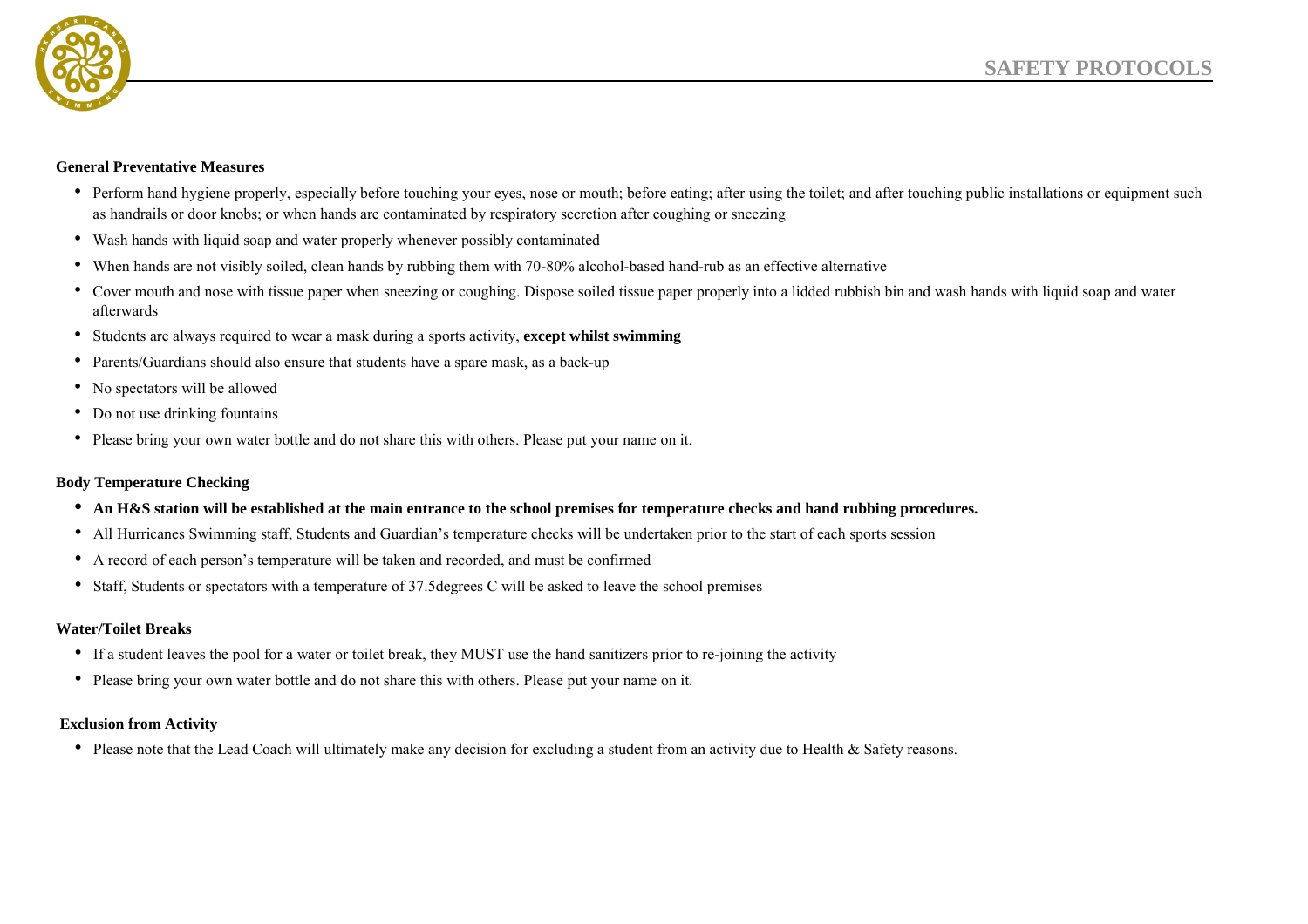

#### **General Preventative Measures**

- Perform hand hygiene properly, especially before touching your eyes, nose or mouth; before eating; after using the toilet; and after touching public installations or equipment such as handrails or door knobs; or when hands are contaminated by respiratory secretion after coughing or sneezing
- Wash hands with liquid soap and water properly whenever possibly contaminated
- When hands are not visibly soiled, clean hands by rubbing them with 70-80% alcohol-based hand-rub as an effective alternative
- Cover mouth and nose with tissue paper when sneezing or coughing. Dispose soiled tissue paper properly into a lidded rubbish bin and wash hands with liquid soap and water afterwards
- Students are always required to wear a mask during a sports activity, **except whilst swimming**
- Parents/Guardians should also ensure that students have a spare mask, as a back-up
- No spectators will be allowed
- Do not use drinking fountains
- Please bring your own water bottle and do not share this with others. Please put your name on it.

### **Body Temperature Checking**

- **• An H&S station will be established at the main entrance to the school premises for temperature checks and hand rubbing procedures.**
- All Hurricanes Swimming staff, Students and Guardian's temperature checks will be undertaken prior to the start of each sports session
- A record of each person's temperature will be taken and recorded, and must be confirmed
- Staff, Students or spectators with a temperature of 37.5degrees C will be asked to leave the school premises

### **Water/Toilet Breaks**

- If a student leaves the pool for a water or toilet break, they MUST use the hand sanitizers prior to re-joining the activity
- Please bring your own water bottle and do not share this with others. Please put your name on it.

### **Exclusion from Activity**

• Please note that the Lead Coach will ultimately make any decision for excluding a student from an activity due to Health & Safety reasons.